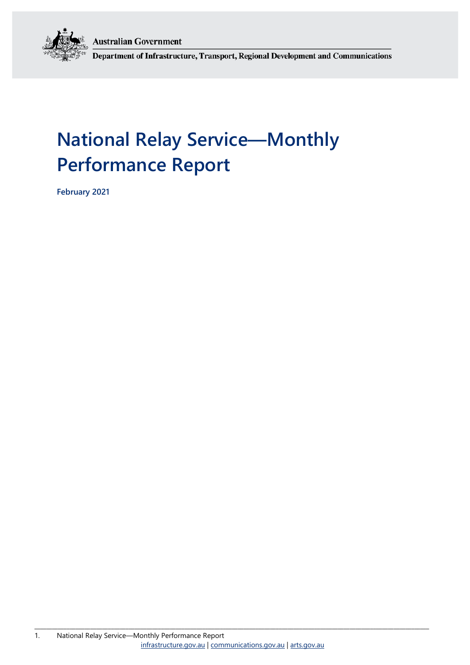**Australian Government** 



Department of Infrastructure, Transport, Regional Development and Communications

# **National Relay Service—Monthly Performance Report**

**February 2021**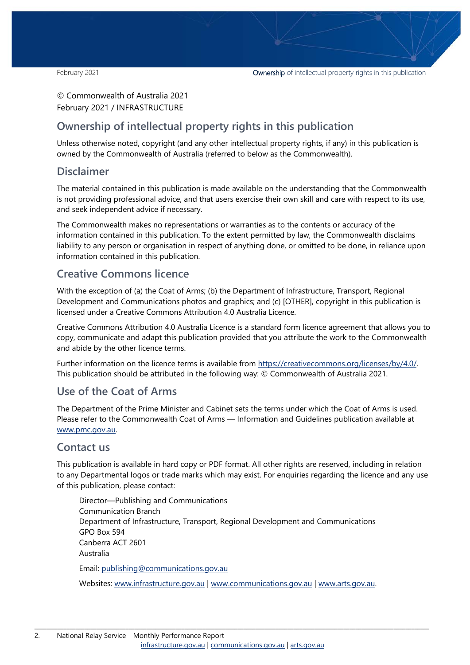#### © Commonwealth of Australia 2021 February 2021 / INFRASTRUCTURE

### **Ownership of intellectual property rights in this publication**

Unless otherwise noted, copyright (and any other intellectual property rights, if any) in this publication is owned by the Commonwealth of Australia (referred to below as the Commonwealth).

#### **Disclaimer**

The material contained in this publication is made available on the understanding that the Commonwealth is not providing professional advice, and that users exercise their own skill and care with respect to its use, and seek independent advice if necessary.

The Commonwealth makes no representations or warranties as to the contents or accuracy of the information contained in this publication. To the extent permitted by law, the Commonwealth disclaims liability to any person or organisation in respect of anything done, or omitted to be done, in reliance upon information contained in this publication.

### **Creative Commons licence**

With the exception of (a) the Coat of Arms; (b) the Department of Infrastructure, Transport, Regional Development and Communications photos and graphics; and (c) [OTHER], copyright in this publication is licensed under a Creative Commons Attribution 4.0 Australia Licence.

Creative Commons Attribution 4.0 Australia Licence is a standard form licence agreement that allows you to copy, communicate and adapt this publication provided that you attribute the work to the Commonwealth and abide by the other licence terms.

Further information on the licence terms is available from [https://creativecommons.org/licenses/by/4.0/.](https://creativecommons.org/licenses/by/4.0/) This publication should be attributed in the following way: © Commonwealth of Australia 2021.

### **Use of the Coat of Arms**

The Department of the Prime Minister and Cabinet sets the terms under which the Coat of Arms is used. Please refer to the Commonwealth Coat of Arms — Information and Guidelines publication available at [www.pmc.gov.au.](http://www.pmc.gov.au/) 

#### **Contact us**

This publication is available in hard copy or PDF format. All other rights are reserved, including in relation to any Departmental logos or trade marks which may exist. For enquiries regarding the licence and any use of this publication, please contact:

Director—Publishing and Communications Communication Branch Department of Infrastructure, Transport, Regional Development and Communications GPO Box 594 Canberra ACT 2601 Australia Email: [publishing@communications.gov.au](mailto:publishing@communications.gov.au)

Websites: [www.infrastructure.gov.au](http://www.infrastructure.gov.au/) | [www.communications.gov.au](http://www.communications.gov.au/) | [www.arts.gov.au.](http://www.arts.gov.au/)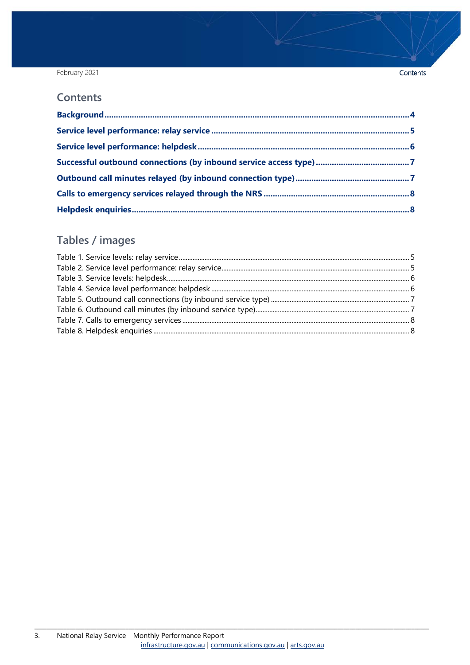#### February 2021

#### **Contents**

### Tables / images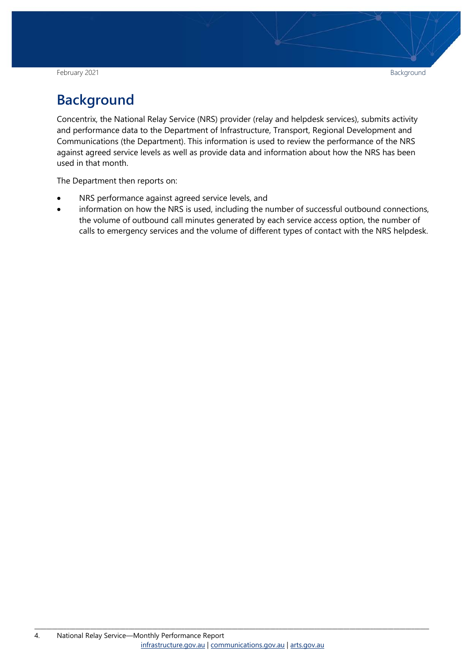February 2021 **Background Background Background Background** 

# <span id="page-3-0"></span>**Background**

Concentrix, the National Relay Service (NRS) provider (relay and helpdesk services), submits activity and performance data to the Department of Infrastructure, Transport, Regional Development and Communications (the Department). This information is used to review the performance of the NRS against agreed service levels as well as provide data and information about how the NRS has been used in that month.

The Department then reports on:

- NRS performance against agreed service levels, and
- information on how the NRS is used, including the number of successful outbound connections, the volume of outbound call minutes generated by each service access option, the number of calls to emergency services and the volume of different types of contact with the NRS helpdesk.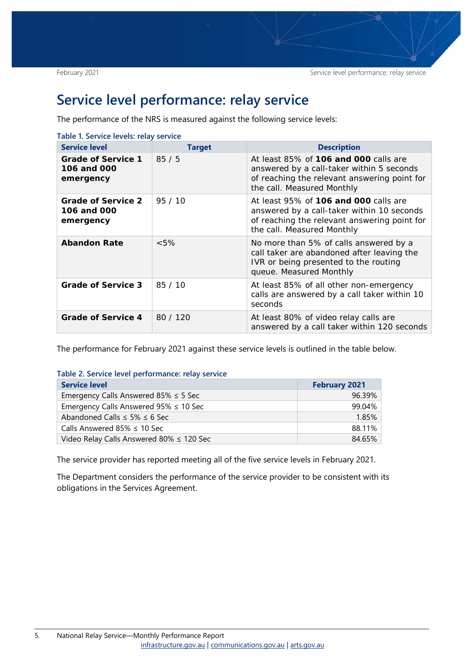### <span id="page-4-0"></span>**Service level performance: relay service**

The performance of the NRS is measured against the following service levels:

<span id="page-4-1"></span>

| <b>Service level</b>                                  | <b>Target</b> | <b>Description</b>                                                                                                                                                |
|-------------------------------------------------------|---------------|-------------------------------------------------------------------------------------------------------------------------------------------------------------------|
| <b>Grade of Service 1</b><br>106 and 000<br>emergency | 85/5          | At least 85% of 106 and 000 calls are<br>answered by a call-taker within 5 seconds<br>of reaching the relevant answering point for<br>the call. Measured Monthly  |
| <b>Grade of Service 2</b><br>106 and 000<br>emergency | 95/10         | At least 95% of 106 and 000 calls are<br>answered by a call-taker within 10 seconds<br>of reaching the relevant answering point for<br>the call. Measured Monthly |
| <b>Abandon Rate</b>                                   | $<5\%$        | No more than 5% of calls answered by a<br>call taker are abandoned after leaving the<br>IVR or being presented to the routing<br>queue. Measured Monthly          |
| <b>Grade of Service 3</b>                             | 85/10         | At least 85% of all other non-emergency<br>calls are answered by a call taker within 10<br>seconds                                                                |
| <b>Grade of Service 4</b>                             | 80 / 120      | At least 80% of video relay calls are<br>answered by a call taker within 120 seconds                                                                              |

The performance for February 2021 against these service levels is outlined in the table below.

<span id="page-4-2"></span>**Table 2. Service level performance: relay service** 

| <b>Service level</b>                          | <b>February 2021</b> |
|-----------------------------------------------|----------------------|
| Emergency Calls Answered 85% $\leq$ 5 Sec     | 96.39%               |
| Emergency Calls Answered $95\% \leq 10$ Sec   | 99.04%               |
| Abandoned Calls $\leq$ 5% $\leq$ 6 Sec        | 1.85%                |
| Calls Answered 85% $\leq$ 10 Sec              | 88.11%               |
| Video Relay Calls Answered 80% $\leq$ 120 Sec | 84.65%               |

The service provider has reported meeting all of the five service levels in February 2021.

The Department considers the performance of the service provider to be consistent with its obligations in the Services Agreement.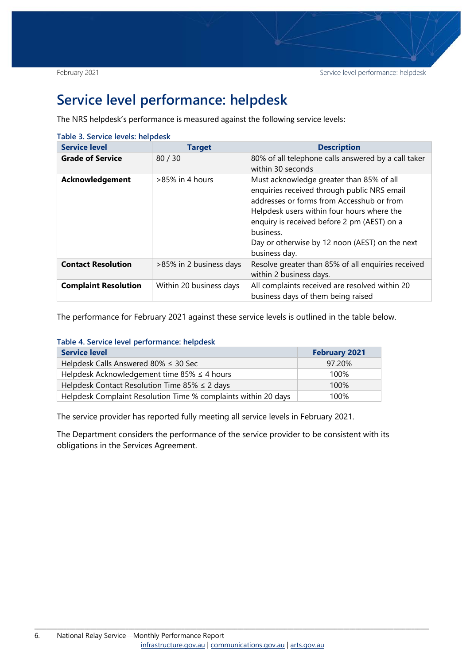### <span id="page-5-0"></span>**Service level performance: helpdesk**

The NRS helpdesk's performance is measured against the following service levels:

<span id="page-5-1"></span>

| Table 3. Service levels: helpdesk |                         |                                                                                                                                                                                                                                                                                                                   |
|-----------------------------------|-------------------------|-------------------------------------------------------------------------------------------------------------------------------------------------------------------------------------------------------------------------------------------------------------------------------------------------------------------|
| <b>Service level</b>              | <b>Target</b>           | <b>Description</b>                                                                                                                                                                                                                                                                                                |
| <b>Grade of Service</b>           | 80/30                   | 80% of all telephone calls answered by a call taker<br>within 30 seconds                                                                                                                                                                                                                                          |
| Acknowledgement                   | $>85\%$ in 4 hours      | Must acknowledge greater than 85% of all<br>enquiries received through public NRS email<br>addresses or forms from Accesshub or from<br>Helpdesk users within four hours where the<br>enquiry is received before 2 pm (AEST) on a<br>business.<br>Day or otherwise by 12 noon (AEST) on the next<br>business day. |
| <b>Contact Resolution</b>         | >85% in 2 business days | Resolve greater than 85% of all enquiries received<br>within 2 business days.                                                                                                                                                                                                                                     |
| <b>Complaint Resolution</b>       | Within 20 business days | All complaints received are resolved within 20<br>business days of them being raised                                                                                                                                                                                                                              |

The performance for February 2021 against these service levels is outlined in the table below.

<span id="page-5-2"></span>

|  | Table 4. Service level performance: helpdesk |  |
|--|----------------------------------------------|--|
|  |                                              |  |

| <b>Service level</b>                                           | <b>February 2021</b> |
|----------------------------------------------------------------|----------------------|
| Helpdesk Calls Answered 80% $\leq$ 30 Sec                      | 97.20%               |
| Helpdesk Acknowledgement time 85% $\leq$ 4 hours               | 100%                 |
| Helpdesk Contact Resolution Time 85% $\leq$ 2 days             | 100%                 |
| Helpdesk Complaint Resolution Time % complaints within 20 days | 100%                 |

The service provider has reported fully meeting all service levels in February 2021.

The Department considers the performance of the service provider to be consistent with its obligations in the Services Agreement.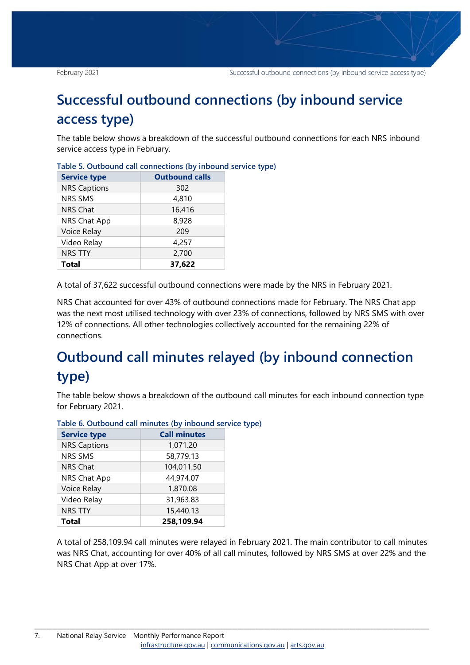# <span id="page-6-0"></span>**Successful outbound connections (by inbound service access type)**

The table below shows a breakdown of the successful outbound connections for each NRS inbound service access type in February.

| <b>Service type</b> | <b>Outbound calls</b> |
|---------------------|-----------------------|
| <b>NRS Captions</b> | 302                   |
| <b>NRS SMS</b>      | 4,810                 |
| <b>NRS Chat</b>     | 16,416                |
| NRS Chat App        | 8,928                 |
| Voice Relay         | 209                   |
| Video Relay         | 4,257                 |
| <b>NRS TTY</b>      | 2,700                 |
| <b>Total</b>        | 37,622                |

<span id="page-6-2"></span>**Table 5. Outbound call connections (by inbound service type)**

A total of 37,622 successful outbound connections were made by the NRS in February 2021.

NRS Chat accounted for over 43% of outbound connections made for February. The NRS Chat app was the next most utilised technology with over 23% of connections, followed by NRS SMS with over 12% of connections. All other technologies collectively accounted for the remaining 22% of connections.

# <span id="page-6-1"></span>**Outbound call minutes relayed (by inbound connection type)**

The table below shows a breakdown of the outbound call minutes for each inbound connection type for February 2021.

| <b>Service type</b> | <b>Call minutes</b> |
|---------------------|---------------------|
| <b>NRS Captions</b> | 1,071.20            |
| NRS SMS             | 58,779.13           |
| <b>NRS Chat</b>     | 104,011.50          |
| NRS Chat App        | 44,974.07           |
| Voice Relay         | 1,870.08            |
| Video Relay         | 31,963.83           |
| <b>NRS TTY</b>      | 15,440.13           |
| <b>Total</b>        | 258,109.94          |

<span id="page-6-3"></span>**Table 6. Outbound call minutes (by inbound service type)**

A total of 258,109.94 call minutes were relayed in February 2021. The main contributor to call minutes was NRS Chat, accounting for over 40% of all call minutes, followed by NRS SMS at over 22% and the NRS Chat App at over 17%.